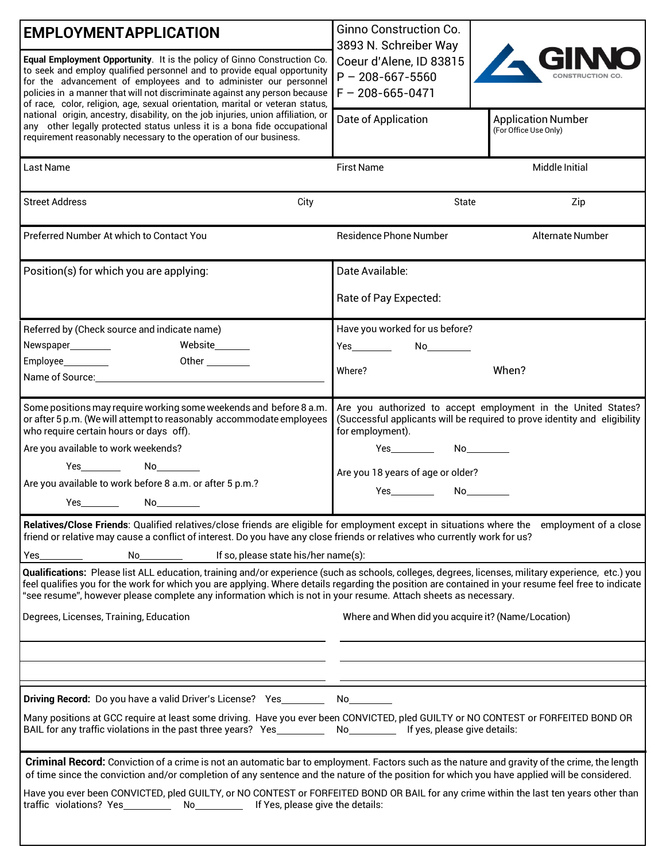| <b>EMPLOYMENTAPPLICATION</b>                                                                                                                                                                                                          | <b>Ginno Construction Co.</b>                                                                                                                                                                                                  |                                                                           |  |  |  |
|---------------------------------------------------------------------------------------------------------------------------------------------------------------------------------------------------------------------------------------|--------------------------------------------------------------------------------------------------------------------------------------------------------------------------------------------------------------------------------|---------------------------------------------------------------------------|--|--|--|
|                                                                                                                                                                                                                                       | 3893 N. Schreiber Way                                                                                                                                                                                                          |                                                                           |  |  |  |
| Equal Employment Opportunity. It is the policy of Ginno Construction Co.<br>to seek and employ qualified personnel and to provide equal opportunity                                                                                   | Coeur d'Alene, ID 83815                                                                                                                                                                                                        |                                                                           |  |  |  |
| for the advancement of employees and to administer our personnel                                                                                                                                                                      | $P - 208 - 667 - 5560$                                                                                                                                                                                                         |                                                                           |  |  |  |
| policies in a manner that will not discriminate against any person because                                                                                                                                                            | $F - 208 - 665 - 0471$                                                                                                                                                                                                         |                                                                           |  |  |  |
| of race, color, religion, age, sexual orientation, marital or veteran status,<br>national origin, ancestry, disability, on the job injuries, union affiliation, or                                                                    |                                                                                                                                                                                                                                |                                                                           |  |  |  |
| any other legally protected status unless it is a bona fide occupational                                                                                                                                                              | Date of Application                                                                                                                                                                                                            | <b>Application Number</b><br>(For Office Use Only)                        |  |  |  |
| requirement reasonably necessary to the operation of our business.                                                                                                                                                                    |                                                                                                                                                                                                                                |                                                                           |  |  |  |
|                                                                                                                                                                                                                                       |                                                                                                                                                                                                                                |                                                                           |  |  |  |
| Last Name                                                                                                                                                                                                                             | <b>First Name</b>                                                                                                                                                                                                              | Middle Initial                                                            |  |  |  |
|                                                                                                                                                                                                                                       |                                                                                                                                                                                                                                |                                                                           |  |  |  |
| <b>Street Address</b><br>City                                                                                                                                                                                                         | State                                                                                                                                                                                                                          | Zip                                                                       |  |  |  |
|                                                                                                                                                                                                                                       |                                                                                                                                                                                                                                |                                                                           |  |  |  |
| Preferred Number At which to Contact You                                                                                                                                                                                              | <b>Residence Phone Number</b>                                                                                                                                                                                                  | Alternate Number                                                          |  |  |  |
|                                                                                                                                                                                                                                       |                                                                                                                                                                                                                                |                                                                           |  |  |  |
| Position(s) for which you are applying:                                                                                                                                                                                               | Date Available:                                                                                                                                                                                                                |                                                                           |  |  |  |
|                                                                                                                                                                                                                                       |                                                                                                                                                                                                                                |                                                                           |  |  |  |
|                                                                                                                                                                                                                                       | Rate of Pay Expected:                                                                                                                                                                                                          |                                                                           |  |  |  |
|                                                                                                                                                                                                                                       |                                                                                                                                                                                                                                |                                                                           |  |  |  |
| Referred by (Check source and indicate name)                                                                                                                                                                                          | Have you worked for us before?                                                                                                                                                                                                 |                                                                           |  |  |  |
| Website_______<br>Newspaper_________                                                                                                                                                                                                  | Yes__________  No__________                                                                                                                                                                                                    |                                                                           |  |  |  |
| Other<br>Employee__________                                                                                                                                                                                                           | Where?                                                                                                                                                                                                                         | When?                                                                     |  |  |  |
| Name of Source: Name of Source:                                                                                                                                                                                                       |                                                                                                                                                                                                                                |                                                                           |  |  |  |
|                                                                                                                                                                                                                                       |                                                                                                                                                                                                                                |                                                                           |  |  |  |
| Some positions may require working some weekends and before 8 a.m.                                                                                                                                                                    |                                                                                                                                                                                                                                | Are you authorized to accept employment in the United States?             |  |  |  |
| or after 5 p.m. (We will attempt to reasonably accommodate employees<br>who require certain hours or days off).                                                                                                                       | for employment).                                                                                                                                                                                                               | (Successful applicants will be required to prove identity and eligibility |  |  |  |
|                                                                                                                                                                                                                                       |                                                                                                                                                                                                                                |                                                                           |  |  |  |
| Are you available to work weekends?                                                                                                                                                                                                   |                                                                                                                                                                                                                                |                                                                           |  |  |  |
| $Yes$ $No$                                                                                                                                                                                                                            | Are you 18 years of age or older?                                                                                                                                                                                              |                                                                           |  |  |  |
| Are you available to work before 8 a.m. or after 5 p.m.?                                                                                                                                                                              |                                                                                                                                                                                                                                |                                                                           |  |  |  |
| Yes a controller to the controller of the controller of the controller of the controller of the controller of the controller of the controller of the controller of the controller of the controller of the controller of the<br>No l |                                                                                                                                                                                                                                |                                                                           |  |  |  |
| Relatives/Close Friends: Qualified relatives/close friends are eligible for employment except in situations where the employment of a close                                                                                           |                                                                                                                                                                                                                                |                                                                           |  |  |  |
| friend or relative may cause a conflict of interest. Do you have any close friends or relatives who currently work for us?                                                                                                            |                                                                                                                                                                                                                                |                                                                           |  |  |  |
| If so, please state his/her name(s):<br>Yes<br>No.                                                                                                                                                                                    |                                                                                                                                                                                                                                |                                                                           |  |  |  |
| Qualifications: Please list ALL education, training and/or experience (such as schools, colleges, degrees, licenses, military experience, etc.) you                                                                                   |                                                                                                                                                                                                                                |                                                                           |  |  |  |
| feel qualifies you for the work for which you are applying. Where details regarding the position are contained in your resume feel free to indicate                                                                                   |                                                                                                                                                                                                                                |                                                                           |  |  |  |
| "see resume", however please complete any information which is not in your resume. Attach sheets as necessary.                                                                                                                        |                                                                                                                                                                                                                                |                                                                           |  |  |  |
| Degrees, Licenses, Training, Education                                                                                                                                                                                                | Where and When did you acquire it? (Name/Location)                                                                                                                                                                             |                                                                           |  |  |  |
|                                                                                                                                                                                                                                       |                                                                                                                                                                                                                                |                                                                           |  |  |  |
|                                                                                                                                                                                                                                       |                                                                                                                                                                                                                                |                                                                           |  |  |  |
|                                                                                                                                                                                                                                       |                                                                                                                                                                                                                                |                                                                           |  |  |  |
|                                                                                                                                                                                                                                       |                                                                                                                                                                                                                                |                                                                           |  |  |  |
| <b>Driving Record:</b> Do you have a valid Driver's License? Yes                                                                                                                                                                      | No control of the North State of the North State of the North State of the North State of the North State of the North State of the North State of the North State of the North State of the North State of the North State of |                                                                           |  |  |  |
| Many positions at GCC require at least some driving. Have you ever been CONVICTED, pled GUILTY or NO CONTEST or FORFEITED BOND OR                                                                                                     |                                                                                                                                                                                                                                |                                                                           |  |  |  |
|                                                                                                                                                                                                                                       |                                                                                                                                                                                                                                |                                                                           |  |  |  |
|                                                                                                                                                                                                                                       |                                                                                                                                                                                                                                |                                                                           |  |  |  |
| Criminal Record: Conviction of a crime is not an automatic bar to employment. Factors such as the nature and gravity of the crime, the length                                                                                         |                                                                                                                                                                                                                                |                                                                           |  |  |  |
| of time since the conviction and/or completion of any sentence and the nature of the position for which you have applied will be considered.                                                                                          |                                                                                                                                                                                                                                |                                                                           |  |  |  |
| Have you ever been CONVICTED, pled GUILTY, or NO CONTEST or FORFEITED BOND OR BAIL for any crime within the last ten years other than                                                                                                 |                                                                                                                                                                                                                                |                                                                           |  |  |  |
|                                                                                                                                                                                                                                       |                                                                                                                                                                                                                                |                                                                           |  |  |  |
|                                                                                                                                                                                                                                       |                                                                                                                                                                                                                                |                                                                           |  |  |  |
|                                                                                                                                                                                                                                       |                                                                                                                                                                                                                                |                                                                           |  |  |  |